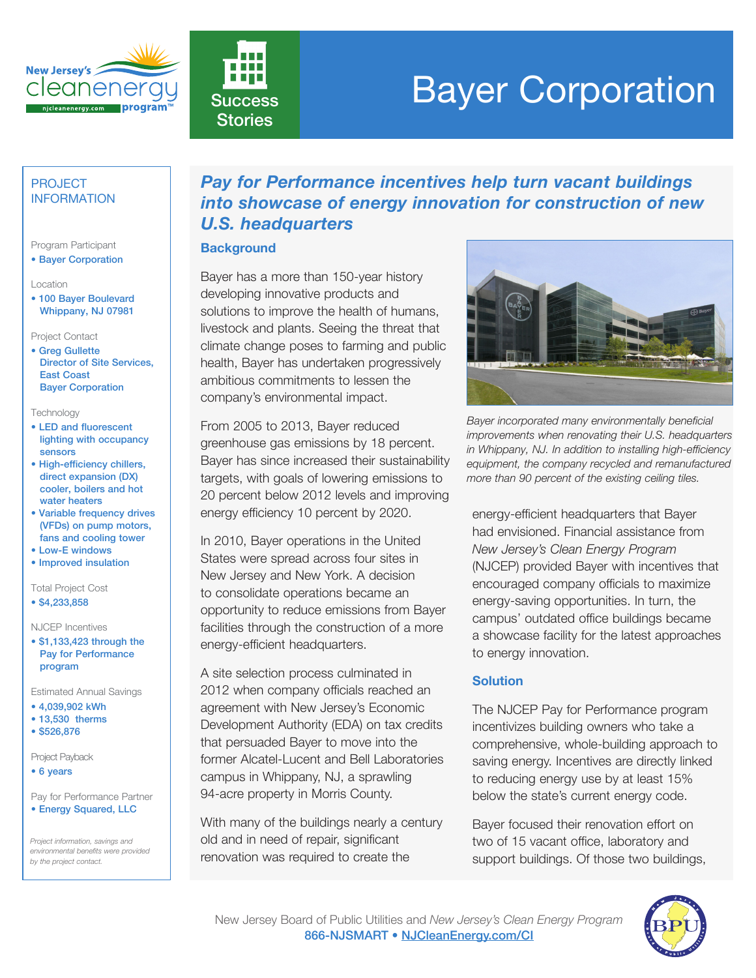



# **Success Bayer Corporation**

## PROJECT INFORMATION

### Program Participant

• Bayer Corporation

Location

• 100 Bayer Boulevard Whippany, NJ 07981

Project Contact

• Greg Gullette Director of Site Services, East Coast Bayer Corporation

#### Technology

- LED and fluorescent lighting with occupancy sensors
- High-efficiency chillers, direct expansion (DX) cooler, boilers and hot water heaters
- Variable frequency drives (VFDs) on pump motors, fans and cooling tower
- Low-E windows
- Improved insulation

Total Project Cost

• \$4,233,858

NJCEP Incentives

• \$1,133,423 through the Pay for Performance program

Estimated Annual Savings

- 4,039,902 kWh
- 13,530 therms
- \$526,876

Project Payback

• 6 years

Pay for Performance Partner • Energy Squared, LLC

*Project information, savings and environmental benefits were provided by the project contact.*

# *Pay for Performance incentives help turn vacant buildings into showcase of energy innovation for construction of new U.S. headquarters*

### **Background**

Bayer has a more than 150-year history developing innovative products and solutions to improve the health of humans, livestock and plants. Seeing the threat that climate change poses to farming and public health, Bayer has undertaken progressively ambitious commitments to lessen the company's environmental impact.

From 2005 to 2013, Bayer reduced greenhouse gas emissions by 18 percent. Bayer has since increased their sustainability targets, with goals of lowering emissions to 20 percent below 2012 levels and improving energy efficiency 10 percent by 2020.

In 2010, Bayer operations in the United States were spread across four sites in New Jersey and New York. A decision to consolidate operations became an opportunity to reduce emissions from Bayer facilities through the construction of a more energy-efficient headquarters.

A site selection process culminated in 2012 when company officials reached an agreement with New Jersey's Economic Development Authority (EDA) on tax credits that persuaded Bayer to move into the former Alcatel-Lucent and Bell Laboratories campus in Whippany, NJ, a sprawling 94-acre property in Morris County.

With many of the buildings nearly a century old and in need of repair, significant renovation was required to create the



*Bayer incorporated many environmentally beneficial improvements when renovating their U.S. headquarters in Whippany, NJ. In addition to installing high-efficiency equipment, the company recycled and remanufactured more than 90 percent of the existing ceiling tiles.* 

energy-efficient headquarters that Bayer had envisioned. Financial assistance from *New Jersey's Clean Energy Program* (NJCEP) provided Bayer with incentives that encouraged company officials to maximize energy-saving opportunities. In turn, the campus' outdated office buildings became a showcase facility for the latest approaches to energy innovation.

# **Solution**

The NJCEP Pay for Performance program incentivizes building owners who take a comprehensive, whole-building approach to saving energy. Incentives are directly linked to reducing energy use by at least 15% below the state's current energy code.

Bayer focused their renovation effort on two of 15 vacant office, laboratory and support buildings. Of those two buildings,